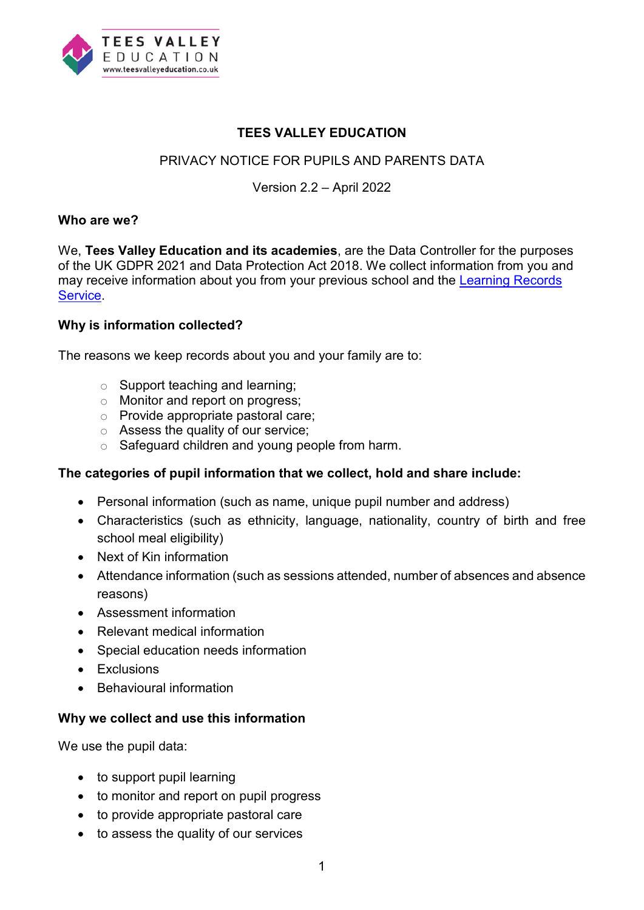

### **TEES VALLEY EDUCATION**

## PRIVACY NOTICE FOR PUPILS AND PARENTS DATA

### Version 2.2 – April 2022

#### **Who are we?**

We, **Tees Valley Education and its academies**, are the Data Controller for the purposes of the UK GDPR 2021 and Data Protection Act 2018. We collect information from you and may receive information about you from your previous school and the [Learning Records](https://www.gov.uk/topic/further-education-skills/learning-records-service)  [Service.](https://www.gov.uk/topic/further-education-skills/learning-records-service)

#### **Why is information collected?**

The reasons we keep records about you and your family are to:

- $\circ$  Support teaching and learning:
- o Monitor and report on progress;
- o Provide appropriate pastoral care;
- o Assess the quality of our service;
- $\circ$  Safeguard children and young people from harm.

#### **The categories of pupil information that we collect, hold and share include:**

- Personal information (such as name, unique pupil number and address)
- Characteristics (such as ethnicity, language, nationality, country of birth and free school meal eligibility)
- Next of Kin information
- Attendance information (such as sessions attended, number of absences and absence reasons)
- Assessment information
- Relevant medical information
- Special education needs information
- Exclusions
- Behavioural information

#### **Why we collect and use this information**

We use the pupil data:

- to support pupil learning
- to monitor and report on pupil progress
- to provide appropriate pastoral care
- to assess the quality of our services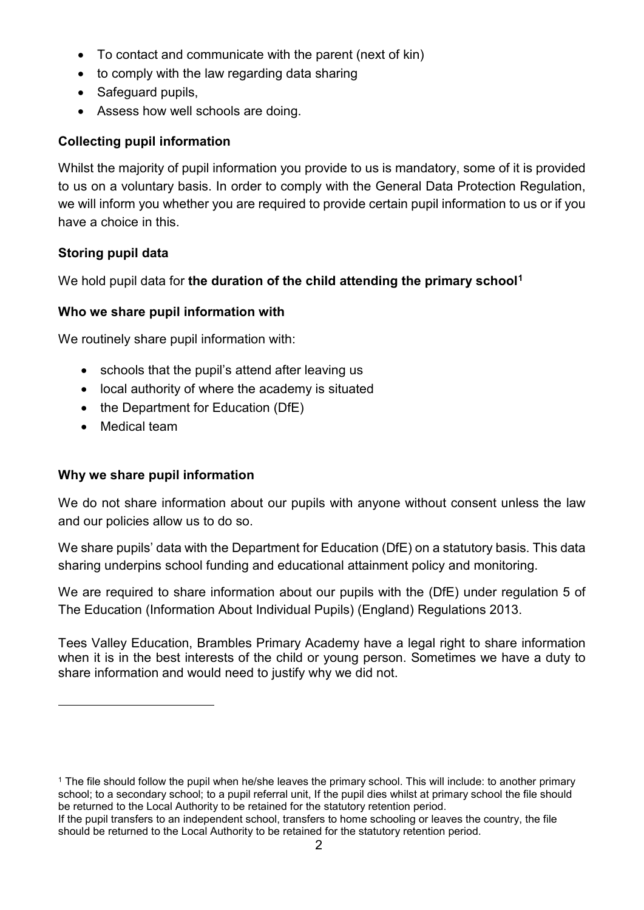- To contact and communicate with the parent (next of kin)
- to comply with the law regarding data sharing
- Safeguard pupils,
- Assess how well schools are doing.

## **Collecting pupil information**

Whilst the majority of pupil information you provide to us is mandatory, some of it is provided to us on a voluntary basis. In order to comply with the General Data Protection Regulation, we will inform you whether you are required to provide certain pupil information to us or if you have a choice in this.

# **Storing pupil data**

We hold pupil data for **the duration of the child attending the primary school[1](#page-1-0)**

## **Who we share pupil information with**

We routinely share pupil information with:

- schools that the pupil's attend after leaving us
- local authority of where the academy is situated
- the Department for Education (DfE)
- Medical team

 $\overline{a}$ 

## **Why we share pupil information**

We do not share information about our pupils with anyone without consent unless the law and our policies allow us to do so.

We share pupils' data with the Department for Education (DfE) on a statutory basis. This data sharing underpins school funding and educational attainment policy and monitoring.

We are required to share information about our pupils with the (DfE) under regulation 5 of The Education (Information About Individual Pupils) (England) Regulations 2013.

Tees Valley Education, Brambles Primary Academy have a legal right to share information when it is in the best interests of the child or young person. Sometimes we have a duty to share information and would need to justify why we did not.

<span id="page-1-0"></span><sup>1</sup> The file should follow the pupil when he/she leaves the primary school. This will include: to another primary school; to a secondary school; to a pupil referral unit, If the pupil dies whilst at primary school the file should be returned to the Local Authority to be retained for the statutory retention period.

If the pupil transfers to an independent school, transfers to home schooling or leaves the country, the file should be returned to the Local Authority to be retained for the statutory retention period.